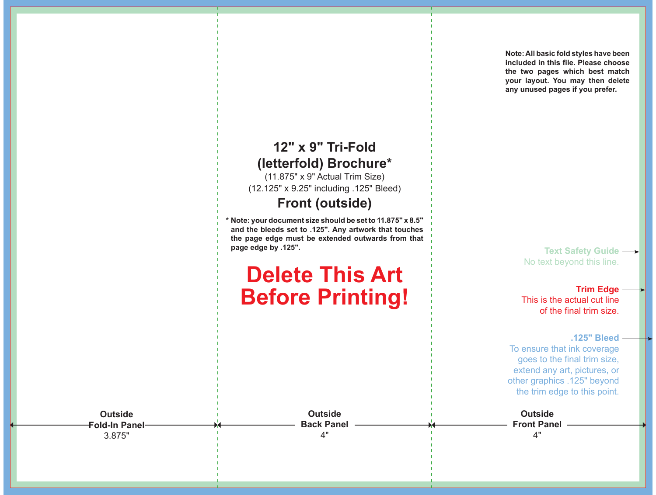

(11.875" x 9" Actual Trim Size) (12.125" x 9.25" including .125" Bleed)

**Front (outside)**

**\* Note: your document size should be set to 11.875" x 8.5" and the bleeds set to .125". Any artwork that touches the page edge must be extended outwards from that page edge by .125".**

## **Delete This Art Before Printing!**

**Note: All basic fold styles have been included in this file. Please choose the two pages which best match your layout. You may then delete any unused pages if you prefer.**

> **Text Safety Guide**  No text beyond this line.

**Trim Edge** This is the actual cut line of the final trim size.

**.125" Bleed**

To ensure that ink coverage goes to the final trim size, extend any art, pictures, or other graphics .125" beyond the trim edge to this point.